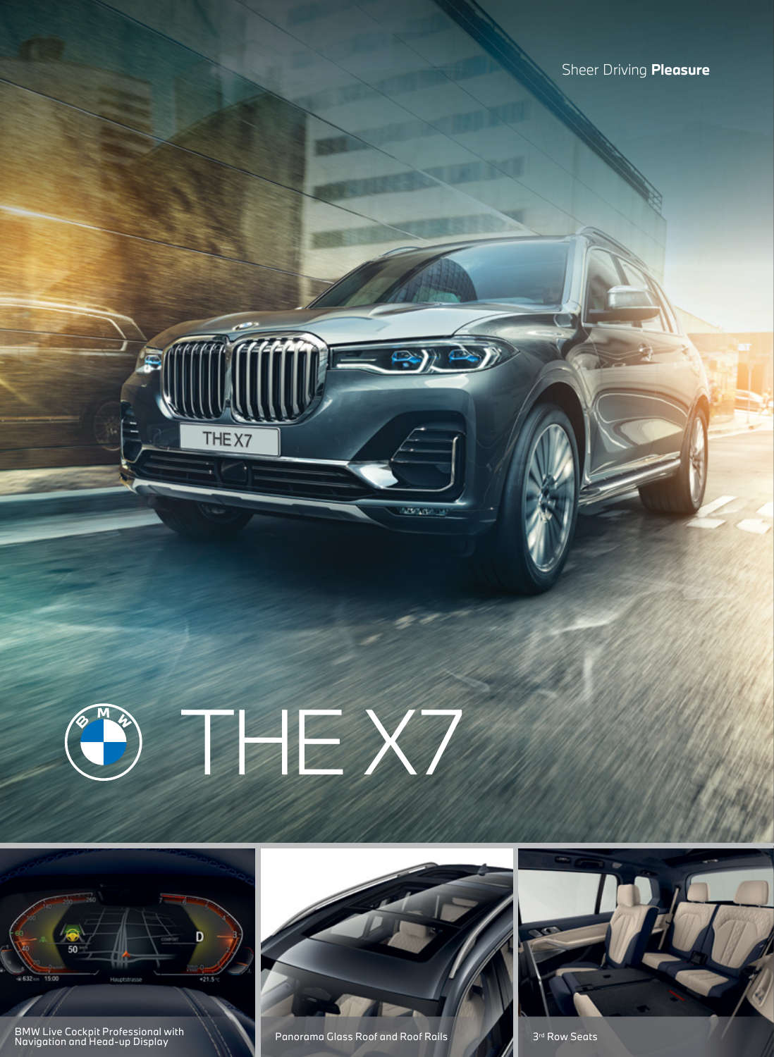

THE<sub>X7</sub>



BMW Live Cockpit Professional with Panorama Glass Roof and Roof Rails Panorama Glass Roof and Roof Rails Panorama Glass Roof and Roof Rails Panorama Glass Roof and Roof Rails Panorama Glass Roof Rails Panorama Glass Roof R



**District**